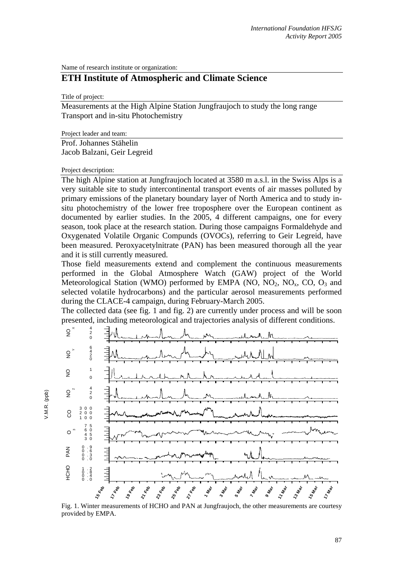Name of research institute or organization:

## **ETH Institute of Atmospheric and Climate Science**

Title of project:

Measurements at the High Alpine Station Jungfraujoch to study the long range Transport and in-situ Photochemistry

Project leader and team:

Prof. Johannes Stähelin Jacob Balzani, Geir Legreid

## Project description:

The high Alpine station at Jungfraujoch located at 3580 m a.s.l. in the Swiss Alps is a very suitable site to study intercontinental transport events of air masses polluted by primary emissions of the planetary boundary layer of North America and to study insitu photochemistry of the lower free troposphere over the European continent as documented by earlier studies. In the 2005, 4 different campaigns, one for every season, took place at the research station. During those campaigns Formaldehyde and Oxygenated Volatile Organic Compunds (OVOCs), referring to Geir Legreid, have been measured. Peroxyacetylnitrate (PAN) has been measured thorough all the year and it is still currently measured.

Those field measurements extend and complement the continuous measurements performed in the Global Atmosphere Watch (GAW) project of the World Meteorological Station (WMO) performed by EMPA (NO, NO<sub>2</sub>, NO<sub>3</sub>, CO, O<sub>3</sub> and selected volatile hydrocarbons) and the particular aerosol measurements performed during the CLACE-4 campaign, during February-March 2005.

The collected data (see fig. 1 and fig. 2) are currently under process and will be soon presented, including meteorological and trajectories analysis of different conditions.



Fig. 1. Winter measurements of HCHO and PAN at Jungfraujoch, the other measurements are courtesy provided by EMPA.

 $/$ .M.R. (ppb) V.M.R. (ppb)